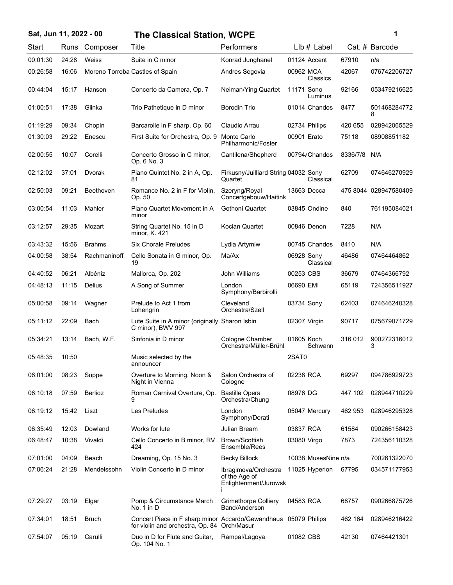## **Sat, Jun 11, 2022 - 00 1 The Classical Station, WCPE**

| ï<br>I |  |
|--------|--|
|        |  |

| Start    | Runs  | Composer      | Title                                                                                                          | Performers                                                     | LIb # Label             |          | Cat. # Barcode        |
|----------|-------|---------------|----------------------------------------------------------------------------------------------------------------|----------------------------------------------------------------|-------------------------|----------|-----------------------|
| 00:01:30 | 24:28 | Weiss         | Suite in C minor                                                                                               | Konrad Junghanel                                               | 01124 Accent            | 67910    | n/a                   |
| 00:26:58 | 16:06 |               | Moreno Torroba Castles of Spain                                                                                | Andres Segovia                                                 | 00962 MCA<br>Classics   | 42067    | 076742206727          |
| 00:44:04 | 15:17 | Hanson        | Concerto da Camera, Op. 7                                                                                      | Neiman/Ying Quartet                                            | 11171 Sono<br>Luminus   | 92166    | 053479216625          |
| 01:00:51 | 17:38 | Glinka        | Trio Pathetique in D minor                                                                                     | <b>Borodin Trio</b>                                            | 01014 Chandos           | 8477     | 501468284772<br>8     |
| 01:19:29 | 09:34 | Chopin        | Barcarolle in F sharp, Op. 60                                                                                  | Claudio Arrau                                                  | 02734 Philips           | 420 655  | 028942065529          |
| 01:30:03 | 29:22 | Enescu        | First Suite for Orchestra, Op. 9                                                                               | Monte Carlo<br>Philharmonic/Foster                             | 00901 Erato             | 75118    | 08908851182           |
| 02:00:55 | 10:07 | Corelli       | Concerto Grosso in C minor,<br>Op. 6 No. 3                                                                     | Cantilena/Shepherd                                             | 00794/Chandos           | 8336/7/8 | N/A                   |
| 02:12:02 | 37:01 | Dvorak        | Piano Quintet No. 2 in A, Op.<br>81                                                                            | Firkusny/Juilliard String 04032 Sony<br>Quartet                | Classical               | 62709    | 074646270929          |
| 02:50:03 | 09:21 | Beethoven     | Romance No. 2 in F for Violin,<br>Op. 50                                                                       | Szeryng/Royal<br>Concertgebouw/Haitink                         | 13663 Decca             |          | 475 8044 028947580409 |
| 03:00:54 | 11:03 | Mahler        | Piano Quartet Movement in A<br>minor                                                                           | Gothoni Quartet                                                | 03845 Ondine            | 840      | 761195084021          |
| 03:12:57 | 29:35 | Mozart        | String Quartet No. 15 in D<br>minor, K. 421                                                                    | Kocian Quartet                                                 | 00846 Denon             | 7228     | N/A                   |
| 03:43:32 | 15:56 | <b>Brahms</b> | <b>Six Chorale Preludes</b>                                                                                    | Lydia Artymiw                                                  | 00745 Chandos           | 8410     | N/A                   |
| 04:00:58 | 38:54 | Rachmaninoff  | Cello Sonata in G minor, Op.<br>19                                                                             | Ma/Ax                                                          | 06928 Sony<br>Classical | 46486    | 07464464862           |
| 04:40:52 | 06:21 | Albéniz       | Mallorca, Op. 202                                                                                              | <b>John Williams</b>                                           | 00253 CBS               | 36679    | 07464366792           |
| 04:48:13 | 11:15 | Delius        | A Song of Summer                                                                                               | London<br>Symphony/Barbirolli                                  | 06690 EMI               | 65119    | 724356511927          |
| 05:00:58 | 09:14 | Wagner        | Prelude to Act 1 from<br>Lohengrin                                                                             | Cleveland<br>Orchestra/Szell                                   | 03734 Sony              | 62403    | 074646240328          |
| 05:11:12 | 22:09 | Bach          | Lute Suite in A minor (originally Sharon Isbin<br>C minor), BWV 997                                            |                                                                | 02307 Virgin            | 90717    | 075679071729          |
| 05:34:21 | 13:14 | Bach, W.F.    | Sinfonia in D minor                                                                                            | Cologne Chamber<br>Orchestra/Müller-Brühl                      | 01605 Koch<br>Schwann   | 316 012  | 900272316012<br>3     |
| 05:48:35 | 10:50 |               | Music selected by the<br>announcer                                                                             |                                                                | 2SAT0                   |          |                       |
| 06:01:00 | 08:23 | Suppe         | Overture to Morning, Noon &<br>Night in Vienna                                                                 | Salon Orchestra of<br>Cologne                                  | 02238 RCA               | 69297    | 094786929723          |
| 06:10:18 | 07:59 | Berlioz       | Roman Carnival Overture, Op.<br>9                                                                              | <b>Bastille Opera</b><br>Orchestra/Chung                       | 08976 DG                | 447 102  | 028944710229          |
| 06:19:12 | 15:42 | Liszt         | Les Preludes                                                                                                   | London<br>Symphony/Dorati                                      | 05047 Mercury           | 462 953  | 028946295328          |
| 06:35:49 | 12:03 | Dowland       | Works for lute                                                                                                 | Julian Bream                                                   | 03837 RCA               | 61584    | 090266158423          |
| 06:48:47 | 10:38 | Vivaldi       | Cello Concerto in B minor, RV<br>424                                                                           | Brown/Scottish<br>Ensemble/Rees                                | 03080 Virgo             | 7873     | 724356110328          |
| 07:01:00 | 04:09 | Beach         | Dreaming, Op. 15 No. 3                                                                                         | <b>Becky Billock</b>                                           | 10038 MusesNine n/a     |          | 700261322070          |
| 07:06:24 | 21:28 | Mendelssohn   | Violin Concerto in D minor                                                                                     | Ibragimova/Orchestra<br>of the Age of<br>Enlightenment/Jurowsk | 11025 Hyperion          | 67795    | 034571177953          |
| 07:29:27 | 03:19 | Elgar         | Pomp & Circumstance March<br>No. $1$ in $D$                                                                    | <b>Grimethorpe Colliery</b><br>Band/Anderson                   | 04583 RCA               | 68757    | 090266875726          |
| 07:34:01 | 18:51 | <b>Bruch</b>  | Concert Piece in F sharp minor Accardo/Gewandhaus 05079 Philips<br>for violin and orchestra, Op. 84 Orch/Masur |                                                                |                         | 462 164  | 028946216422          |
| 07:54:07 | 05:19 | Carulli       | Duo in D for Flute and Guitar,<br>Op. 104 No. 1                                                                | Rampal/Lagoya                                                  | 01082 CBS               | 42130    | 07464421301           |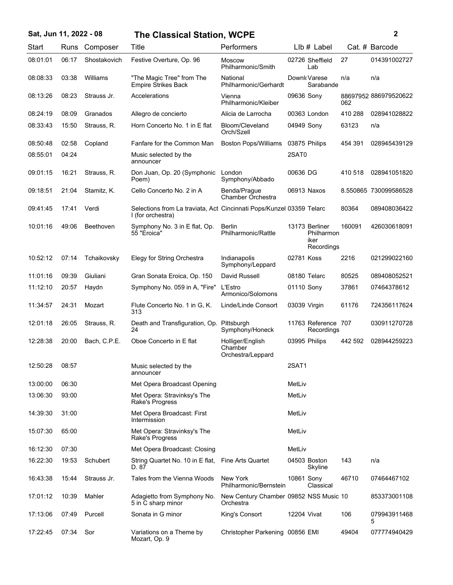| Sat, Jun 11, 2022 - 08 |       |              | <b>The Classical Station, WCPE</b>                                                        |                                                     |              |                                                    |         | 2                     |
|------------------------|-------|--------------|-------------------------------------------------------------------------------------------|-----------------------------------------------------|--------------|----------------------------------------------------|---------|-----------------------|
| Start                  | Runs  | Composer     | Title                                                                                     | Performers                                          |              | LIb # Label                                        |         | Cat. # Barcode        |
| 08:01:01               | 06:17 | Shostakovich | Festive Overture, Op. 96                                                                  | <b>Moscow</b><br>Philharmonic/Smith                 |              | 02726 Sheffield<br>Lab                             | 27      | 014391002727          |
| 08:08:33               | 03:38 | Williams     | "The Magic Tree" from The<br><b>Empire Strikes Back</b>                                   | National<br>Philharmonic/Gerhardt                   |              | Downk Varese<br>Sarabande                          | n/a     | n/a                   |
| 08:13:26               | 08:23 | Strauss Jr.  | Accelerations                                                                             | Vienna<br>Philharmonic/Kleiber                      | 09636 Sony   |                                                    | 062     | 88697952 886979520622 |
| 08:24:19               | 08:09 | Granados     | Allegro de concierto                                                                      | Alicia de Larrocha                                  |              | 00363 London                                       | 410 288 | 028941028822          |
| 08:33:43               | 15:50 | Strauss, R.  | Horn Concerto No. 1 in E flat                                                             | Bloom/Cleveland<br>Orch/Szell                       | 04949 Sonv   |                                                    | 63123   | n/a                   |
| 08:50:48               | 02:58 | Copland      | Fanfare for the Common Man                                                                | <b>Boston Pops/Williams</b>                         |              | 03875 Philips                                      | 454 391 | 028945439129          |
| 08:55:01               | 04:24 |              | Music selected by the<br>announcer                                                        |                                                     | 2SAT0        |                                                    |         |                       |
| 09:01:15               | 16:21 | Strauss, R.  | Don Juan, Op. 20 (Symphonic<br>Poem)                                                      | London<br>Symphony/Abbado                           | 00636 DG     |                                                    | 410 518 | 028941051820          |
| 09:18:51               | 21:04 | Stamitz, K.  | Cello Concerto No. 2 in A                                                                 | Benda/Prague<br><b>Chamber Orchestra</b>            |              | 06913 Naxos                                        |         | 8.550865 730099586528 |
| 09:41:45               | 17:41 | Verdi        | Selections from La traviata, Act Cincinnati Pops/Kunzel 03359 Telarc<br>I (for orchestra) |                                                     |              |                                                    | 80364   | 089408036422          |
| 10:01:16               | 49:06 | Beethoven    | Symphony No. 3 in E flat, Op.<br>55 "Eroica"                                              | Berlin<br>Philharmonic/Rattle                       |              | 13173 Berliner<br>Philharmon<br>iker<br>Recordings | 160091  | 426030618091          |
| 10:52:12               | 07:14 | Tchaikovsky  | Elegy for String Orchestra                                                                | Indianapolis<br>Symphony/Leppard                    | 02781 Koss   |                                                    | 2216    | 021299022160          |
| 11:01:16               | 09:39 | Giuliani     | Gran Sonata Eroica, Op. 150                                                               | David Russell                                       |              | 08180 Telarc                                       | 80525   | 089408052521          |
| 11:12:10               | 20:57 | Haydn        | Symphony No. 059 in A, "Fire"                                                             | L'Estro<br>Armonico/Solomons                        | 01110 Sony   |                                                    | 37861   | 07464378612           |
| 11:34:57               | 24:31 | Mozart       | Flute Concerto No. 1 in G, K.<br>313                                                      | Linde/Linde Consort                                 | 03039 Virgin |                                                    | 61176   | 724356117624          |
| 12:01:18               | 26:05 | Strauss, R.  | Death and Transfiguration, Op.<br>24                                                      | Pittsburgh<br>Symphony/Honeck                       |              | 11763 Reference 707<br>Recordings                  |         | 030911270728          |
| 12:28:38               | 20:00 | Bach, C.P.E. | Oboe Concerto in E flat                                                                   | Holliger/English<br>Chamber<br>Orchestra/Leppard    |              | 03995 Philips                                      | 442 592 | 028944259223          |
| 12:50:28               | 08:57 |              | Music selected by the<br>announcer                                                        |                                                     | 2SAT1        |                                                    |         |                       |
| 13:00:00               | 06:30 |              | Met Opera Broadcast Opening                                                               |                                                     | MetLiv       |                                                    |         |                       |
| 13:06:30               | 93:00 |              | Met Opera: Stravinksy's The<br>Rake's Progress                                            |                                                     | MetLiv       |                                                    |         |                       |
| 14:39:30               | 31:00 |              | Met Opera Broadcast: First<br>Intermission                                                |                                                     | MetLiv       |                                                    |         |                       |
| 15:07:30               | 65:00 |              | Met Opera: Stravinksy's The<br>Rake's Progress                                            |                                                     | MetLiv       |                                                    |         |                       |
| 16:12:30               | 07:30 |              | Met Opera Broadcast: Closing                                                              |                                                     | MetLiv       |                                                    |         |                       |
| 16:22:30               | 19:53 | Schubert     | String Quartet No. 10 in E flat, Fine Arts Quartet<br>D. 87                               |                                                     |              | 04503 Boston<br>Skyline                            | 143     | n/a                   |
| 16:43:38               | 15:44 | Strauss Jr.  | Tales from the Vienna Woods                                                               | New York<br>Philharmonic/Bernstein                  | 10861 Sony   | Classical                                          | 46710   | 07464467102           |
| 17:01:12               | 10:39 | Mahler       | Adagietto from Symphony No.<br>5 in C sharp minor                                         | New Century Chamber 09852 NSS Music 10<br>Orchestra |              |                                                    |         | 853373001108          |
| 17:13:06               | 07:49 | Purcell      | Sonata in G minor                                                                         | King's Consort                                      | 12204 Vivat  |                                                    | 106     | 079943911468<br>5     |
| 17:22:45               | 07:34 | Sor          | Variations on a Theme by<br>Mozart, Op. 9                                                 | Christopher Parkening 00856 EMI                     |              |                                                    | 49404   | 077774940429          |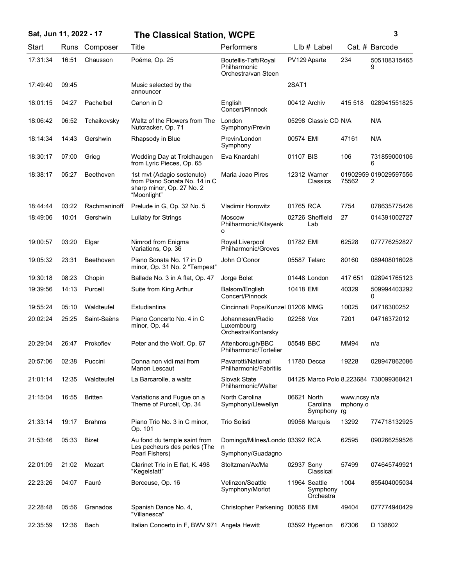| Sat, Jun 11, 2022 - 17 |       |                  | <b>The Classical Station, WCPE</b>                                                                      |                                                             |              |                                        |                          | 3                                      |
|------------------------|-------|------------------|---------------------------------------------------------------------------------------------------------|-------------------------------------------------------------|--------------|----------------------------------------|--------------------------|----------------------------------------|
| Start                  | Runs  | Composer         | Title                                                                                                   | Performers                                                  |              | LIb # Label                            |                          | Cat. # Barcode                         |
| 17:31:34               | 16:51 | Chausson         | Poéme, Op. 25                                                                                           | Boutellis-Taft/Royal<br>Philharmonic<br>Orchestra/van Steen |              | PV129 Aparte                           | 234                      | 505108315465<br>9                      |
| 17:49:40               | 09:45 |                  | Music selected by the<br>announcer                                                                      |                                                             | 2SAT1        |                                        |                          |                                        |
| 18:01:15               | 04:27 | Pachelbel        | Canon in D                                                                                              | English<br>Concert/Pinnock                                  | 00412 Archiv |                                        | 415 518                  | 028941551825                           |
| 18:06:42               | 06:52 | Tchaikovsky      | Waltz of the Flowers from The<br>Nutcracker, Op. 71                                                     | London<br>Symphony/Previn                                   |              | 05298 Classic CD N/A                   |                          | N/A                                    |
| 18:14:34               | 14:43 | Gershwin         | Rhapsody in Blue                                                                                        | Previn/London<br>Symphony                                   | 00574 EMI    |                                        | 47161                    | N/A                                    |
| 18:30:17               | 07:00 | Grieg            | Wedding Day at Troldhaugen<br>from Lyric Pieces, Op. 65                                                 | Eva Knardahl                                                | 01107 BIS    |                                        | 106                      | 731859000106<br>6                      |
| 18:38:17               | 05:27 | <b>Beethoven</b> | 1st mvt (Adagio sostenuto)<br>from Piano Sonata No. 14 in C<br>sharp minor, Op. 27 No. 2<br>"Moonlight" | Maria Joao Pires                                            |              | 12312 Warner<br>Classics               | 75562                    | 01902959 019029597556<br>2             |
| 18:44:44               | 03:22 | Rachmaninoff     | Prelude in G, Op. 32 No. 5                                                                              | <b>Vladimir Horowitz</b>                                    | 01765 RCA    |                                        | 7754                     | 078635775426                           |
| 18:49:06               | 10:01 | Gershwin         | Lullaby for Strings                                                                                     | <b>Moscow</b><br>Philharmonic/Kitayenk<br>o                 |              | 02726 Sheffield<br>Lab                 | 27                       | 014391002727                           |
| 19:00:57               | 03:20 | Elgar            | Nimrod from Enigma<br>Variations, Op. 36                                                                | Royal Liverpool<br>Philharmonic/Groves                      | 01782 EMI    |                                        | 62528                    | 077776252827                           |
| 19:05:32               | 23:31 | Beethoven        | Piano Sonata No. 17 in D<br>minor, Op. 31 No. 2 "Tempest"                                               | John O'Conor                                                | 05587 Telarc |                                        | 80160                    | 089408016028                           |
| 19:30:18               | 08:23 | Chopin           | Ballade No. 3 in A flat, Op. 47                                                                         | Jorge Bolet                                                 |              | 01448 London                           | 417 651                  | 028941765123                           |
| 19:39:56               | 14:13 | Purcell          | Suite from King Arthur                                                                                  | Balsom/English<br>Concert/Pinnock                           | 10418 EMI    |                                        | 40329                    | 509994403292<br>0                      |
| 19:55:24               | 05:10 | Waldteufel       | Estudiantina                                                                                            | Cincinnati Pops/Kunzel 01206 MMG                            |              |                                        | 10025                    | 04716300252                            |
| 20:02:24               | 25:25 | Saint-Saëns      | Piano Concerto No. 4 in C<br>minor, Op. 44                                                              | Johannesen/Radio<br>Luxembourg<br>Orchestra/Kontarsky       | 02258 Vox    |                                        | 7201                     | 04716372012                            |
| 20:29:04               | 26:47 | Prokofiev        | Peter and the Wolf, Op. 67                                                                              | Attenborough/BBC<br>Philharmonic/Tortelier                  | 05548 BBC    |                                        | MM94                     | n/a                                    |
| 20:57:06               | 02:38 | Puccini          | Donna non vidi mai from<br>Manon Lescaut                                                                | Pavarotti/National<br>Philharmonic/Fabritiis                | 11780 Decca  |                                        | 19228                    | 028947862086                           |
| 21:01:14               | 12:35 | Waldteufel       | La Barcarolle, a waltz                                                                                  | <b>Slovak State</b><br>Philharmonic/Walter                  |              |                                        |                          | 04125 Marco Polo 8.223684 730099368421 |
| 21:15:04               | 16:55 | <b>Britten</b>   | Variations and Fugue on a<br>Theme of Purcell, Op. 34                                                   | North Carolina<br>Symphony/Llewellyn                        | 06621 North  | Carolina<br>Symphony ra                | www.ncsy n/a<br>mphony.o |                                        |
| 21:33:14               | 19:17 | <b>Brahms</b>    | Piano Trio No. 3 in C minor,<br>Op. 101                                                                 | <b>Trio Solisti</b>                                         |              | 09056 Marquis                          | 13292                    | 774718132925                           |
| 21:53:46               | 05:33 | Bizet            | Au fond du temple saint from<br>Les pecheurs des perles (The<br>Pearl Fishers)                          | Domingo/Milnes/Londo 03392 RCA<br>n<br>Symphony/Guadagno    |              |                                        | 62595                    | 090266259526                           |
| 22:01:09               | 21:02 | Mozart           | Clarinet Trio in E flat, K. 498<br>"Kegelstatt"                                                         | Stoltzman/Ax/Ma                                             | 02937 Sony   | Classical                              | 57499                    | 074645749921                           |
| 22:23:26               | 04:07 | Fauré            | Berceuse, Op. 16                                                                                        | Velinzon/Seattle<br>Symphony/Morlot                         |              | 11964 Seattle<br>Symphony<br>Orchestra | 1004                     | 855404005034                           |
| 22:28:48               | 05:56 | Granados         | Spanish Dance No. 4,<br>"Villanesca"                                                                    | Christopher Parkening 00856 EMI                             |              |                                        | 49404                    | 077774940429                           |
| 22:35:59               | 12:36 | Bach             | Italian Concerto in F, BWV 971 Angela Hewitt                                                            |                                                             |              | 03592 Hyperion                         | 67306                    | D 138602                               |